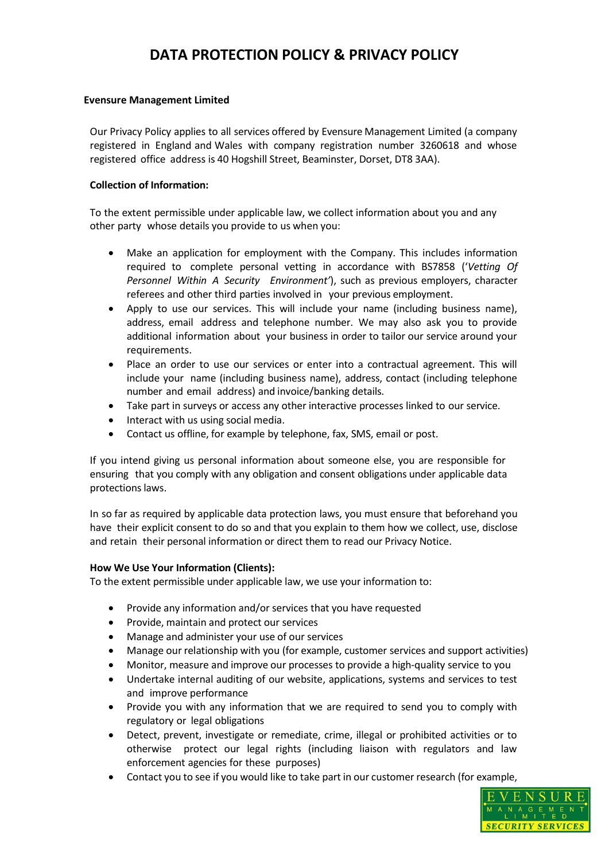## **Evensure Management Limited**

Our Privacy Policy applies to all services offered by Evensure Management Limited (a company registered in England and Wales with company registration number 3260618 and whose registered office address is 40 Hogshill Street, Beaminster, Dorset, DT8 3AA).

## **Collection of Information:**

To the extent permissible under applicable law, we collect information about you and any other party whose details you provide to us when you:

- Make an application for employment with the Company. This includes information required to complete personal vetting in accordance with BS7858 ('*Vetting Of Personnel Within A Security Environment'*), such as previous employers, character referees and other third parties involved in your previous employment.
- Apply to use our services. This will include your name (including business name), address, email address and telephone number. We may also ask you to provide additional information about your business in order to tailor our service around your requirements.
- Place an order to use our services or enter into a contractual agreement. This will include your name (including business name), address, contact (including telephone number and email address) and invoice/banking details.
- Take part in surveys or access any other interactive processes linked to our service.
- Interact with us using social media.
- Contact us offline, for example by telephone, fax, SMS, email or post.

If you intend giving us personal information about someone else, you are responsible for ensuring that you comply with any obligation and consent obligations under applicable data protections laws.

In so far as required by applicable data protection laws, you must ensure that beforehand you have their explicit consent to do so and that you explain to them how we collect, use, disclose and retain their personal information or direct them to read our Privacy Notice.

## **How We Use Your Information (Clients):**

To the extent permissible under applicable law, we use your information to:

- Provide any information and/or services that you have requested
- Provide, maintain and protect our services
- Manage and administer your use of our services
- Manage our relationship with you (for example, customer services and support activities)
- Monitor, measure and improve our processes to provide a high-quality service to you
- Undertake internal auditing of our website, applications, systems and services to test and improve performance
- Provide you with any information that we are required to send you to comply with regulatory or legal obligations
- Detect, prevent, investigate or remediate, crime, illegal or prohibited activities or to otherwise protect our legal rights (including liaison with regulators and law enforcement agencies for these purposes)
- Contact you to see if you would like to take part in our customer research (for example,

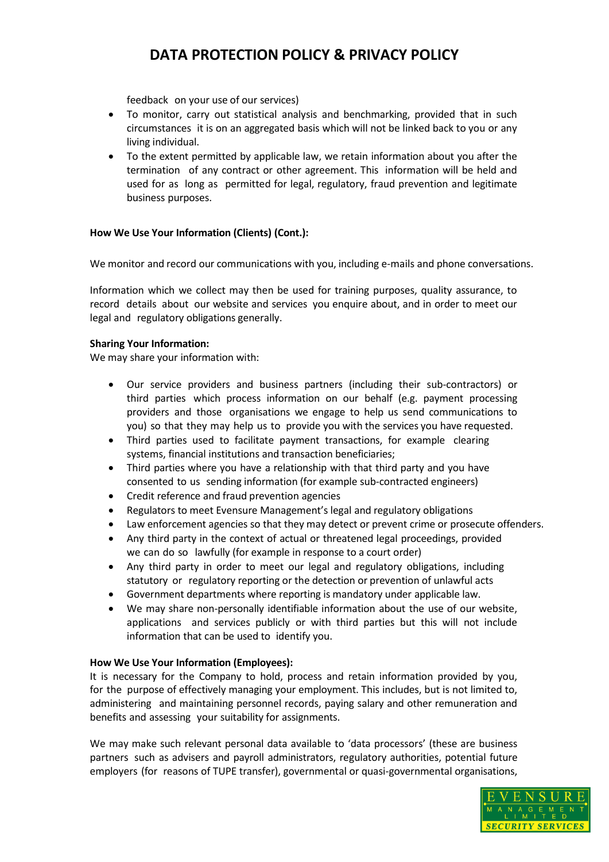feedback on your use of our services)

- To monitor, carry out statistical analysis and benchmarking, provided that in such circumstances it is on an aggregated basis which will not be linked back to you or any living individual.
- To the extent permitted by applicable law, we retain information about you after the termination of any contract or other agreement. This information will be held and used for as long as permitted for legal, regulatory, fraud prevention and legitimate business purposes.

## **How We Use Your Information (Clients) (Cont.):**

We monitor and record our communications with you, including e-mails and phone conversations.

Information which we collect may then be used for training purposes, quality assurance, to record details about our website and services you enquire about, and in order to meet our legal and regulatory obligations generally.

## **Sharing Your Information:**

We may share your information with:

- Our service providers and business partners (including their sub-contractors) or third parties which process information on our behalf (e.g. payment processing providers and those organisations we engage to help us send communications to you) so that they may help us to provide you with the services you have requested.
- Third parties used to facilitate payment transactions, for example clearing systems, financial institutions and transaction beneficiaries;
- Third parties where you have a relationship with that third party and you have consented to us sending information (for example sub-contracted engineers)
- Credit reference and fraud prevention agencies
- Regulators to meet Evensure Management's legal and regulatory obligations
- Law enforcement agencies so that they may detect or prevent crime or prosecute offenders.
- Any third party in the context of actual or threatened legal proceedings, provided we can do so lawfully (for example in response to a court order)
- Any third party in order to meet our legal and regulatory obligations, including statutory or regulatory reporting or the detection or prevention of unlawful acts
- Government departments where reporting is mandatory under applicable law.
- We may share non-personally identifiable information about the use of our website, applications and services publicly or with third parties but this will not include information that can be used to identify you.

## **How We Use Your Information (Employees):**

It is necessary for the Company to hold, process and retain information provided by you, for the purpose of effectively managing your employment. This includes, but is not limited to, administering and maintaining personnel records, paying salary and other remuneration and benefits and assessing your suitability for assignments.

We may make such relevant personal data available to 'data processors' (these are business partners such as advisers and payroll administrators, regulatory authorities, potential future employers (for reasons of TUPE transfer), governmental or quasi-governmental organisations,

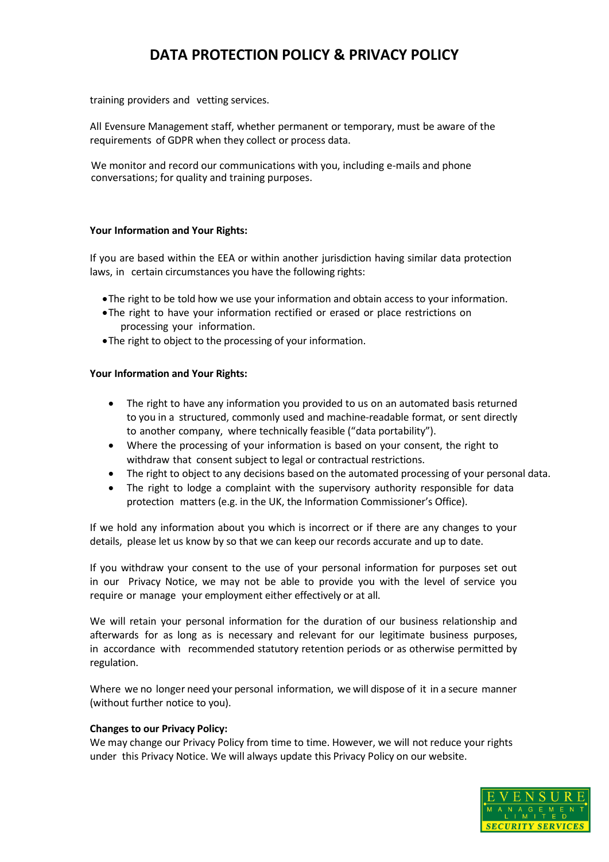training providers and vetting services.

All Evensure Management staff, whether permanent or temporary, must be aware of the requirements of GDPR when they collect or process data.

We monitor and record our communications with you, including e-mails and phone conversations; for quality and training purposes.

## **Your Information and Your Rights:**

If you are based within the EEA or within another jurisdiction having similar data protection laws, in certain circumstances you have the following rights:

- •The right to be told how we use your information and obtain access to your information.
- •The right to have your information rectified or erased or place restrictions on processing your information.
- •The right to object to the processing of your information.

#### **Your Information and Your Rights:**

- The right to have any information you provided to us on an automated basis returned to you in a structured, commonly used and machine-readable format, or sent directly to another company, where technically feasible ("data portability").
- Where the processing of your information is based on your consent, the right to withdraw that consent subject to legal or contractual restrictions.
- The right to object to any decisions based on the automated processing of your personal data.
- The right to lodge a complaint with the supervisory authority responsible for data protection matters (e.g. in the UK, the Information Commissioner's Office).

If we hold any information about you which is incorrect or if there are any changes to your details, please let us know by so that we can keep our records accurate and up to date.

If you withdraw your consent to the use of your personal information for purposes set out in our Privacy Notice, we may not be able to provide you with the level of service you require or manage your employment either effectively or at all.

We will retain your personal information for the duration of our business relationship and afterwards for as long as is necessary and relevant for our legitimate business purposes, in accordance with recommended statutory retention periods or as otherwise permitted by regulation.

Where we no longer need your personal information, we will dispose of it in a secure manner (without further notice to you).

#### **Changes to our Privacy Policy:**

We may change our Privacy Policy from time to time. However, we will not reduce your rights under this Privacy Notice. We will always update this Privacy Policy on our website.

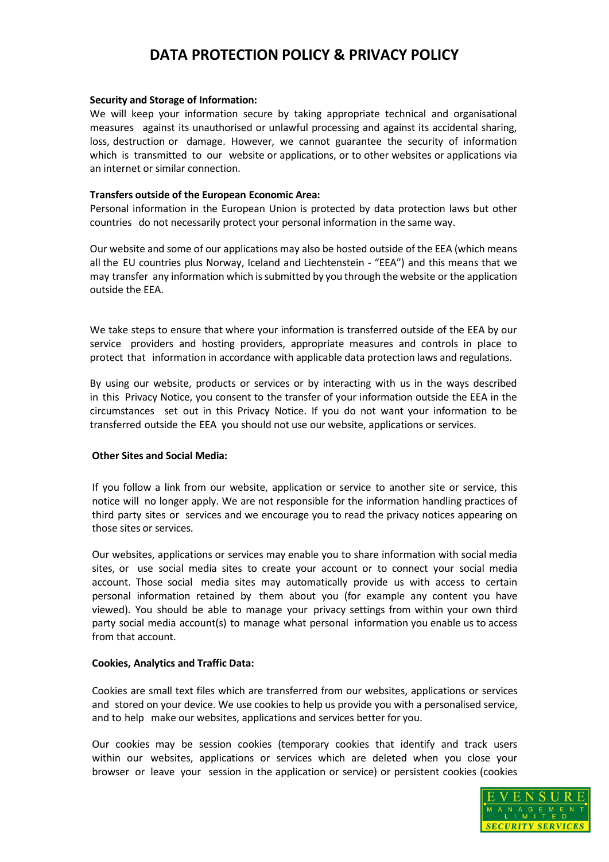#### **Security and Storage of Information:**

We will keep your information secure by taking appropriate technical and organisational measures against its unauthorised or unlawful processing and against its accidental sharing, loss, destruction or damage. However, we cannot guarantee the security of information which is transmitted to our website or applications, or to other websites or applications via an internet or similar connection.

### **Transfers outside of the European Economic Area:**

Personal information in the European Union is protected by data protection laws but other countries do not necessarily protect your personal information in the same way.

Our website and some of our applications may also be hosted outside of the EEA (which means all the EU countries plus Norway, Iceland and Liechtenstein - "EEA") and this means that we may transfer any information which issubmitted by you through the website or the application outside the EEA.

We take steps to ensure that where your information is transferred outside of the EEA by our service providers and hosting providers, appropriate measures and controls in place to protect that information in accordance with applicable data protection laws and regulations.

By using our website, products or services or by interacting with us in the ways described in this Privacy Notice, you consent to the transfer of your information outside the EEA in the circumstances set out in this Privacy Notice. If you do not want your information to be transferred outside the EEA you should not use our website, applications or services.

## **Other Sites and Social Media:**

If you follow a link from our website, application or service to another site or service, this notice will no longer apply. We are not responsible for the information handling practices of third party sites or services and we encourage you to read the privacy notices appearing on those sites or services.

Our websites, applications or services may enable you to share information with social media sites, or use social media sites to create your account or to connect your social media account. Those social media sites may automatically provide us with access to certain personal information retained by them about you (for example any content you have viewed). You should be able to manage your privacy settings from within your own third party social media account(s) to manage what personal information you enable us to access from that account.

## **Cookies, Analytics and Traffic Data:**

Cookies are small text files which are transferred from our websites, applications or services and stored on your device. We use cookies to help us provide you with a personalised service, and to help make our websites, applications and services better for you.

Our cookies may be session cookies (temporary cookies that identify and track users within our websites, applications or services which are deleted when you close your browser or leave your session in the application or service) or persistent cookies (cookies